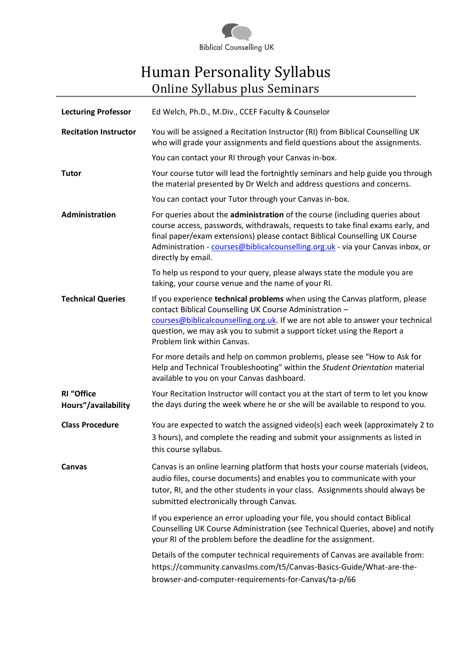

# Human Personality Syllabus Online Syllabus plus Seminars

| <b>Lecturing Professor</b>               | Ed Welch, Ph.D., M.Div., CCEF Faculty & Counselor                                                                                                                                                                                                                                                                                                    |  |
|------------------------------------------|------------------------------------------------------------------------------------------------------------------------------------------------------------------------------------------------------------------------------------------------------------------------------------------------------------------------------------------------------|--|
| <b>Recitation Instructor</b>             | You will be assigned a Recitation Instructor (RI) from Biblical Counselling UK<br>who will grade your assignments and field questions about the assignments.                                                                                                                                                                                         |  |
|                                          | You can contact your RI through your Canvas in-box.                                                                                                                                                                                                                                                                                                  |  |
| <b>Tutor</b>                             | Your course tutor will lead the fortnightly seminars and help guide you through<br>the material presented by Dr Welch and address questions and concerns.                                                                                                                                                                                            |  |
|                                          | You can contact your Tutor through your Canvas in-box.                                                                                                                                                                                                                                                                                               |  |
| Administration                           | For queries about the administration of the course (including queries about<br>course access, passwords, withdrawals, requests to take final exams early, and<br>final paper/exam extensions) please contact Biblical Counselling UK Course<br>Administration - courses@biblicalcounselling.org.uk - via your Canvas inbox, or<br>directly by email. |  |
|                                          | To help us respond to your query, please always state the module you are<br>taking, your course venue and the name of your RI.                                                                                                                                                                                                                       |  |
| <b>Technical Queries</b>                 | If you experience technical problems when using the Canvas platform, please<br>contact Biblical Counselling UK Course Administration -<br>courses@biblicalcounselling.org.uk. If we are not able to answer your technical<br>question, we may ask you to submit a support ticket using the Report a<br>Problem link within Canvas.                   |  |
|                                          | For more details and help on common problems, please see "How to Ask for<br>Help and Technical Troubleshooting" within the Student Orientation material<br>available to you on your Canvas dashboard.                                                                                                                                                |  |
| <b>RI</b> "Office<br>Hours"/availability | Your Recitation Instructor will contact you at the start of term to let you know<br>the days during the week where he or she will be available to respond to you.                                                                                                                                                                                    |  |
| <b>Class Procedure</b>                   | You are expected to watch the assigned video(s) each week (approximately 2 to<br>3 hours), and complete the reading and submit your assignments as listed in<br>this course syllabus.                                                                                                                                                                |  |
| <b>Canvas</b>                            | Canvas is an online learning platform that hosts your course materials (videos,<br>audio files, course documents) and enables you to communicate with your<br>tutor, RI, and the other students in your class. Assignments should always be<br>submitted electronically through Canvas.                                                              |  |
|                                          | If you experience an error uploading your file, you should contact Biblical<br>Counselling UK Course Administration (see Technical Queries, above) and notify<br>your RI of the problem before the deadline for the assignment.                                                                                                                      |  |
|                                          | Details of the computer technical requirements of Canvas are available from:<br>https://community.canvaslms.com/t5/Canvas-Basics-Guide/What-are-the-<br>browser-and-computer-requirements-for-Canvas/ta-p/66                                                                                                                                         |  |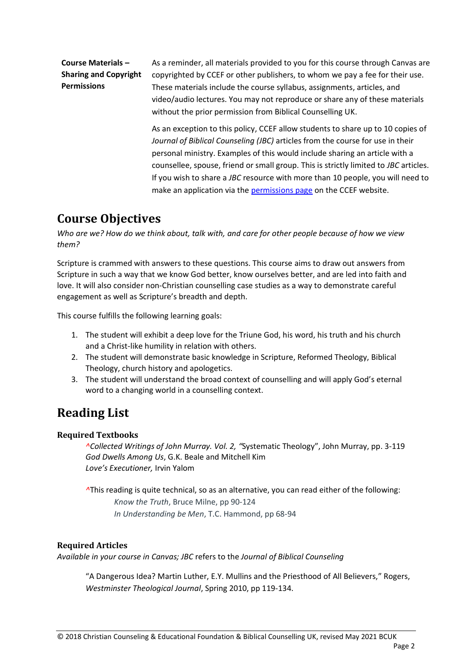#### **Course Materials – Sharing and Copyright Permissions**

As a reminder, all materials provided to you for this course through Canvas are copyrighted by CCEF or other publishers, to whom we pay a fee for their use. These materials include the course syllabus, assignments, articles, and video/audio lectures. You may not reproduce or share any of these materials without the prior permission from Biblical Counselling UK.

As an exception to this policy, CCEF allow students to share up to 10 copies of *Journal of Biblical Counseling (JBC)* articles from the course for use in their personal ministry. Examples of this would include sharing an article with a counsellee, spouse, friend or small group. This is strictly limited to *JBC* articles. If you wish to share a *JBC* resource with more than 10 people, you will need to make an application via the **permissions page** on the CCEF website.

### **Course Objectives**

*Who are we? How do we think about, talk with, and care for other people because of how we view them?*

Scripture is crammed with answers to these questions. This course aims to draw out answers from Scripture in such a way that we know God better, know ourselves better, and are led into faith and love. It will also consider non-Christian counselling case studies as a way to demonstrate careful engagement as well as Scripture's breadth and depth.

This course fulfills the following learning goals:

- 1. The student will exhibit a deep love for the Triune God, his word, his truth and his church and a Christ-like humility in relation with others.
- 2. The student will demonstrate basic knowledge in Scripture, Reformed Theology, Biblical Theology, church history and apologetics.
- 3. The student will understand the broad context of counselling and will apply God's eternal word to a changing world in a counselling context.

# **Reading List**

### **Required Textbooks**

*^Collected Writings of John Murray. Vol. 2, "*Systematic Theology", John Murray, pp. 3-119 *God Dwells Among Us*, G.K. Beale and Mitchell Kim *Love's Executioner,* Irvin Yalom

*^*This reading is quite technical, so as an alternative, you can read either of the following: *Know the Truth*, Bruce Milne, pp 90-124  *In Understanding be Men*, T.C. Hammond, pp 68-94

#### **Required Articles**

*Available in your course in Canvas; JBC* refers to the *Journal of Biblical Counseling*

"A Dangerous Idea? Martin Luther, E.Y. Mullins and the Priesthood of All Believers," Rogers, *Westminster Theological Journal*, Spring 2010, pp 119-134.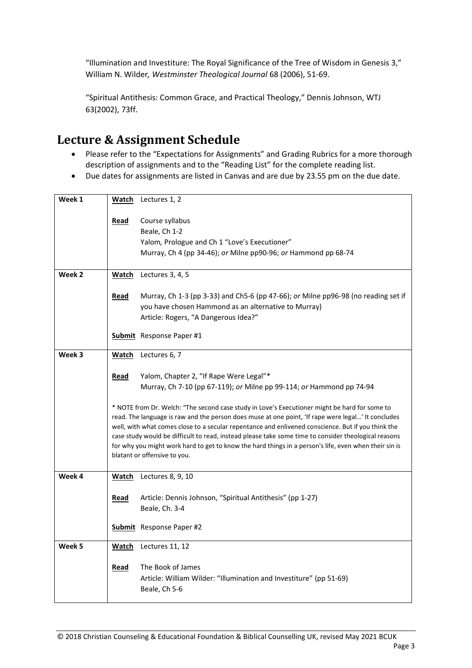"Illumination and Investiture: The Royal Significance of the Tree of Wisdom in Genesis 3," William N. Wilder*, Westminster Theological Journal* 68 (2006), 51-69.

"Spiritual Antithesis: Common Grace, and Practical Theology," Dennis Johnson, WTJ 63(2002), 73ff.

## **Lecture & Assignment Schedule**

- Please refer to the "Expectations for Assignments" and Grading Rubrics for a more thorough description of assignments and to the "Reading List" for the complete reading list.
- Due dates for assignments are listed in Canvas and are due by 23.55 pm on the due date.

| Week 1 | Watch        | Lectures 1, 2                                                                                         |  |  |  |
|--------|--------------|-------------------------------------------------------------------------------------------------------|--|--|--|
|        | Read         | Course syllabus                                                                                       |  |  |  |
|        |              | Beale, Ch 1-2                                                                                         |  |  |  |
|        |              | Yalom, Prologue and Ch 1 "Love's Executioner"                                                         |  |  |  |
|        |              | Murray, Ch 4 (pp 34-46); or Milne pp90-96; or Hammond pp 68-74                                        |  |  |  |
|        |              |                                                                                                       |  |  |  |
| Week 2 | <b>Watch</b> | Lectures 3, 4, 5                                                                                      |  |  |  |
|        |              |                                                                                                       |  |  |  |
|        | Read         | Murray, Ch 1-3 (pp 3-33) and Ch5-6 (pp 47-66); or Milne pp96-98 (no reading set if                    |  |  |  |
|        |              | you have chosen Hammond as an alternative to Murray)                                                  |  |  |  |
|        |              | Article: Rogers, "A Dangerous Idea?"                                                                  |  |  |  |
|        |              | <b>Submit</b> Response Paper #1                                                                       |  |  |  |
|        |              |                                                                                                       |  |  |  |
| Week 3 |              | Watch Lectures 6, 7                                                                                   |  |  |  |
|        |              |                                                                                                       |  |  |  |
|        | <u>Read</u>  | Yalom, Chapter 2, "If Rape Were Legal"*                                                               |  |  |  |
|        |              | Murray, Ch 7-10 (pp 67-119); or Milne pp 99-114; or Hammond pp 74-94                                  |  |  |  |
|        |              | * NOTE from Dr. Welch: "The second case study in Love's Executioner might be hard for some to         |  |  |  |
|        |              | read. The language is raw and the person does muse at one point, 'If rape were legal' It concludes    |  |  |  |
|        |              | well, with what comes close to a secular repentance and enlivened conscience. But if you think the    |  |  |  |
|        |              | case study would be difficult to read, instead please take some time to consider theological reasons  |  |  |  |
|        |              | for why you might work hard to get to know the hard things in a person's life, even when their sin is |  |  |  |
|        |              | blatant or offensive to you.                                                                          |  |  |  |
| Week 4 |              |                                                                                                       |  |  |  |
|        |              | Watch Lectures 8, 9, 10                                                                               |  |  |  |
|        | Read         | Article: Dennis Johnson, "Spiritual Antithesis" (pp 1-27)                                             |  |  |  |
|        |              | Beale, Ch. 3-4                                                                                        |  |  |  |
|        |              |                                                                                                       |  |  |  |
|        |              | <b>Submit</b> Response Paper #2                                                                       |  |  |  |
|        |              |                                                                                                       |  |  |  |
| Week 5 | <b>Watch</b> | Lectures 11, 12                                                                                       |  |  |  |
|        |              |                                                                                                       |  |  |  |
|        | Read         | The Book of James                                                                                     |  |  |  |
|        |              | Article: William Wilder: "Illumination and Investiture" (pp 51-69)                                    |  |  |  |
|        |              | Beale, Ch 5-6                                                                                         |  |  |  |
|        |              |                                                                                                       |  |  |  |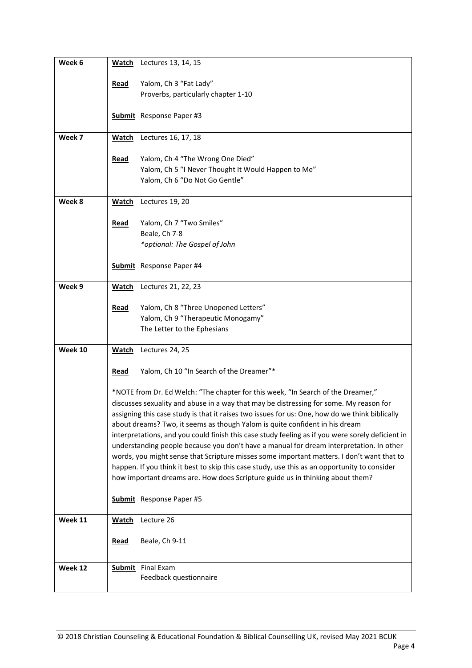| Week 6  | <u>Watch</u>                                                                                                                                                                                                                                                                                                                                                                 | Lectures 13, 14, 15                                                              |  |  |  |
|---------|------------------------------------------------------------------------------------------------------------------------------------------------------------------------------------------------------------------------------------------------------------------------------------------------------------------------------------------------------------------------------|----------------------------------------------------------------------------------|--|--|--|
|         | <b>Read</b>                                                                                                                                                                                                                                                                                                                                                                  | Yalom, Ch 3 "Fat Lady"                                                           |  |  |  |
|         |                                                                                                                                                                                                                                                                                                                                                                              | Proverbs, particularly chapter 1-10                                              |  |  |  |
|         |                                                                                                                                                                                                                                                                                                                                                                              | <b>Submit</b> Response Paper #3                                                  |  |  |  |
|         |                                                                                                                                                                                                                                                                                                                                                                              |                                                                                  |  |  |  |
| Week 7  | Watch                                                                                                                                                                                                                                                                                                                                                                        | Lectures 16, 17, 18                                                              |  |  |  |
|         | <b>Read</b>                                                                                                                                                                                                                                                                                                                                                                  | Yalom, Ch 4 "The Wrong One Died"                                                 |  |  |  |
|         |                                                                                                                                                                                                                                                                                                                                                                              | Yalom, Ch 5 "I Never Thought It Would Happen to Me"                              |  |  |  |
|         |                                                                                                                                                                                                                                                                                                                                                                              | Yalom, Ch 6 "Do Not Go Gentle"                                                   |  |  |  |
| Week 8  | <b>Watch</b>                                                                                                                                                                                                                                                                                                                                                                 | Lectures 19, 20                                                                  |  |  |  |
|         | Read                                                                                                                                                                                                                                                                                                                                                                         | Yalom, Ch 7 "Two Smiles"                                                         |  |  |  |
|         |                                                                                                                                                                                                                                                                                                                                                                              | Beale, Ch 7-8                                                                    |  |  |  |
|         |                                                                                                                                                                                                                                                                                                                                                                              | *optional: The Gospel of John                                                    |  |  |  |
|         |                                                                                                                                                                                                                                                                                                                                                                              | Submit Response Paper #4                                                         |  |  |  |
| Week 9  | <b>Watch</b>                                                                                                                                                                                                                                                                                                                                                                 | Lectures 21, 22, 23                                                              |  |  |  |
|         |                                                                                                                                                                                                                                                                                                                                                                              |                                                                                  |  |  |  |
|         | <b>Read</b>                                                                                                                                                                                                                                                                                                                                                                  | Yalom, Ch 8 "Three Unopened Letters"<br>Yalom, Ch 9 "Therapeutic Monogamy"       |  |  |  |
|         |                                                                                                                                                                                                                                                                                                                                                                              | The Letter to the Ephesians                                                      |  |  |  |
| Week 10 | <b>Watch</b>                                                                                                                                                                                                                                                                                                                                                                 | Lectures 24, 25                                                                  |  |  |  |
|         |                                                                                                                                                                                                                                                                                                                                                                              |                                                                                  |  |  |  |
|         | Read                                                                                                                                                                                                                                                                                                                                                                         | Yalom, Ch 10 "In Search of the Dreamer"*                                         |  |  |  |
|         |                                                                                                                                                                                                                                                                                                                                                                              | *NOTE from Dr. Ed Welch: "The chapter for this week, "In Search of the Dreamer," |  |  |  |
|         | discusses sexuality and abuse in a way that may be distressing for some. My reason for                                                                                                                                                                                                                                                                                       |                                                                                  |  |  |  |
|         | assigning this case study is that it raises two issues for us: One, how do we think biblically<br>about dreams? Two, it seems as though Yalom is quite confident in his dream<br>interpretations, and you could finish this case study feeling as if you were sorely deficient in<br>understanding people because you don't have a manual for dream interpretation. In other |                                                                                  |  |  |  |
|         |                                                                                                                                                                                                                                                                                                                                                                              |                                                                                  |  |  |  |
|         |                                                                                                                                                                                                                                                                                                                                                                              |                                                                                  |  |  |  |
|         | words, you might sense that Scripture misses some important matters. I don't want that to                                                                                                                                                                                                                                                                                    |                                                                                  |  |  |  |
|         | happen. If you think it best to skip this case study, use this as an opportunity to consider<br>how important dreams are. How does Scripture guide us in thinking about them?                                                                                                                                                                                                |                                                                                  |  |  |  |
|         |                                                                                                                                                                                                                                                                                                                                                                              | <b>Submit</b> Response Paper #5                                                  |  |  |  |
| Week 11 | <b>Watch</b>                                                                                                                                                                                                                                                                                                                                                                 | Lecture 26                                                                       |  |  |  |
|         | <b>Read</b>                                                                                                                                                                                                                                                                                                                                                                  | Beale, Ch 9-11                                                                   |  |  |  |
|         |                                                                                                                                                                                                                                                                                                                                                                              |                                                                                  |  |  |  |
| Week 12 |                                                                                                                                                                                                                                                                                                                                                                              | <b>Submit</b> Final Exam<br>Feedback questionnaire                               |  |  |  |
|         |                                                                                                                                                                                                                                                                                                                                                                              |                                                                                  |  |  |  |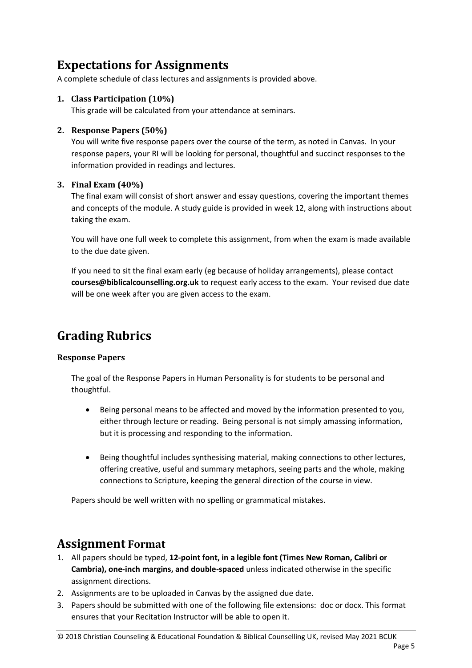## **Expectations for Assignments**

A complete schedule of class lectures and assignments is provided above.

#### **1. Class Participation (10%)**

This grade will be calculated from your attendance at seminars.

#### **2. Response Papers (50%)**

You will write five response papers over the course of the term, as noted in Canvas. In your response papers, your RI will be looking for personal, thoughtful and succinct responses to the information provided in readings and lectures.

#### **3. Final Exam (40%)**

The final exam will consist of short answer and essay questions, covering the important themes and concepts of the module. A study guide is provided in week 12, along with instructions about taking the exam.

You will have one full week to complete this assignment, from when the exam is made available to the due date given.

If you need to sit the final exam early (eg because of holiday arrangements), please contact **courses@biblicalcounselling.org.uk** to request early access to the exam. Your revised due date will be one week after you are given access to the exam.

## **Grading Rubrics**

#### **Response Papers**

The goal of the Response Papers in Human Personality is for students to be personal and thoughtful.

- Being personal means to be affected and moved by the information presented to you, either through lecture or reading. Being personal is not simply amassing information, but it is processing and responding to the information.
- Being thoughtful includes synthesising material, making connections to other lectures, offering creative, useful and summary metaphors, seeing parts and the whole, making connections to Scripture, keeping the general direction of the course in view.

Papers should be well written with no spelling or grammatical mistakes.

### **Assignment Format**

- 1. All papers should be typed, **12-point font, in a legible font (Times New Roman, Calibri or Cambria), one-inch margins, and double-spaced** unless indicated otherwise in the specific assignment directions.
- 2. Assignments are to be uploaded in Canvas by the assigned due date.
- 3. Papers should be submitted with one of the following file extensions: doc or docx. This format ensures that your Recitation Instructor will be able to open it.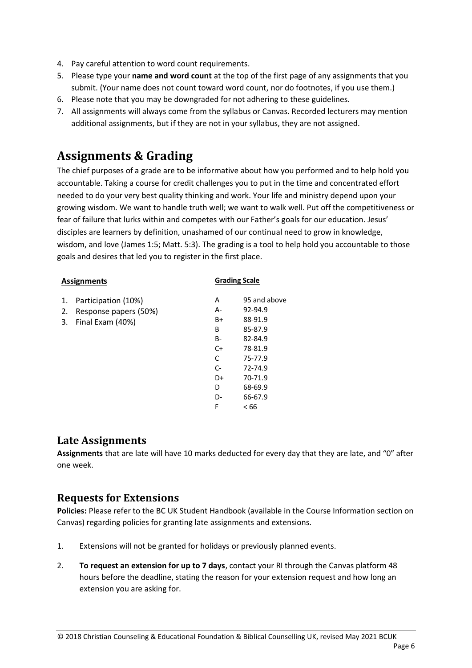- 4. Pay careful attention to word count requirements.
- 5. Please type your **name and word count** at the top of the first page of any assignments that you submit. (Your name does not count toward word count, nor do footnotes, if you use them.)
- 6. Please note that you may be downgraded for not adhering to these guidelines.
- 7. All assignments will always come from the syllabus or Canvas. Recorded lecturers may mention additional assignments, but if they are not in your syllabus, they are not assigned.

## **Assignments & Grading**

The chief purposes of a grade are to be informative about how you performed and to help hold you accountable. Taking a course for credit challenges you to put in the time and concentrated effort needed to do your very best quality thinking and work. Your life and ministry depend upon your growing wisdom. We want to handle truth well; we want to walk well. Put off the competitiveness or fear of failure that lurks within and competes with our Father's goals for our education. Jesus' disciples are learners by definition, unashamed of our continual need to grow in knowledge, wisdom, and love (James 1:5; Matt. 5:3). The grading is a tool to help hold you accountable to those goals and desires that led you to register in the first place.

|                | <b>Assignments</b>                                               | <b>Grading Scale</b>                                                |                                                                                                                                    |  |
|----------------|------------------------------------------------------------------|---------------------------------------------------------------------|------------------------------------------------------------------------------------------------------------------------------------|--|
| 1.<br>2.<br>3. | Participation (10%)<br>Response papers (50%)<br>Final Exam (40%) | A<br>А-<br>B+<br>B<br>B-<br>$C+$<br>C<br>$C-$<br>D+<br>D<br>D-<br>F | 95 and above<br>92-94.9<br>88-91.9<br>85-87.9<br>82-84.9<br>78-81.9<br>75-77.9<br>72-74.9<br>70-71.9<br>68-69.9<br>66-67.9<br>< 66 |  |

### **Late Assignments**

**Assignments** that are late will have 10 marks deducted for every day that they are late, and "0" after one week.

### **Requests for Extensions**

**Policies:** Please refer to the BC UK Student Handbook (available in the Course Information section on Canvas) regarding policies for granting late assignments and extensions.

- 1. Extensions will not be granted for holidays or previously planned events.
- 2. **To request an extension for up to 7 days**, contact your RI through the Canvas platform 48 hours before the deadline, stating the reason for your extension request and how long an extension you are asking for.